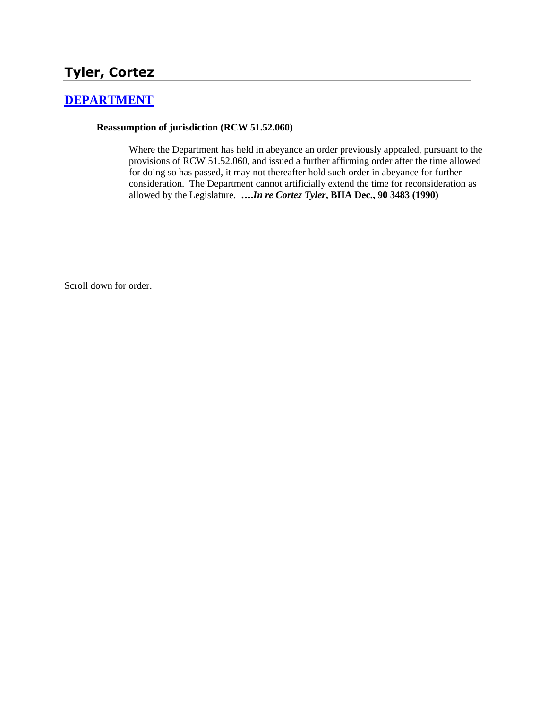# **Tyler, Cortez**

## **[DEPARTMENT](http://www.biia.wa.gov/SDSubjectIndex.html#DEPARTMENT)**

#### **Reassumption of jurisdiction (RCW 51.52.060)**

Where the Department has held in abeyance an order previously appealed, pursuant to the provisions of RCW 51.52.060, and issued a further affirming order after the time allowed for doing so has passed, it may not thereafter hold such order in abeyance for further consideration. The Department cannot artificially extend the time for reconsideration as allowed by the Legislature. **….***In re Cortez Tyler***, BIIA Dec., 90 3483 (1990)**

Scroll down for order.